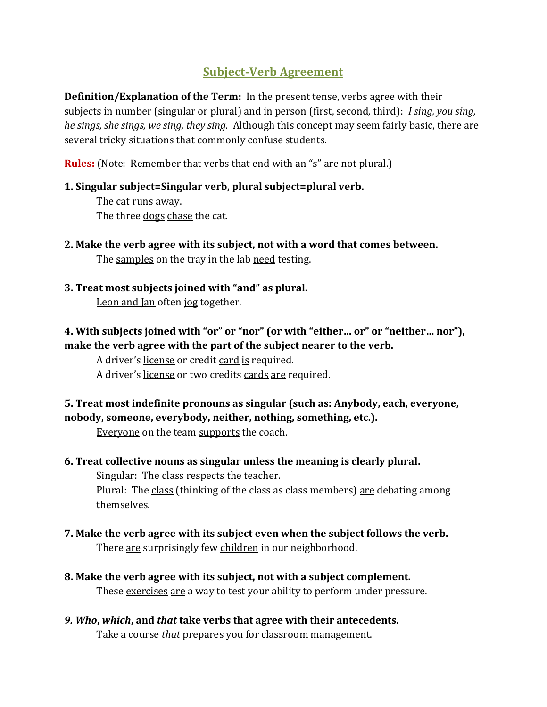# **Subject-Verb Agreement**

**Definition/Explanation of the Term:** In the present tense, verbs agree with their subjects in number (singular or plural) and in person (first, second, third): *I sing, you sing, he sings, she sings, we sing, they sing.* Although this concept may seem fairly basic, there are several tricky situations that commonly confuse students.

**Rules:** (Note: Remember that verbs that end with an "s" are not plural.)

### **1. Singular subject=Singular verb, plural subject=plural verb.**

The cat runs away. The three dogs chase the cat.

- **2. Make the verb agree with its subject, not with a word that comes between.** The samples on the tray in the lab need testing.
- **3. Treat most subjects joined with "and" as plural.** Leon and Jan often jog together.

# **4. With subjects joined with "or" or "nor" (or with "either… or" or "neither… nor"), make the verb agree with the part of the subject nearer to the verb.**

A driver's license or credit card is required.

A driver's <u>license</u> or two credits cards are required.

# **5. Treat most indefinite pronouns as singular (such as: Anybody, each, everyone, nobody, someone, everybody, neither, nothing, something, etc.).**

Everyone on the team supports the coach.

## **6. Treat collective nouns as singular unless the meaning is clearly plural.**

Singular: The class respects the teacher. Plural: The class (thinking of the class as class members) are debating among themselves.

- **7. Make the verb agree with its subject even when the subject follows the verb.** There are surprisingly few children in our neighborhood.
- **8. Make the verb agree with its subject, not with a subject complement.** These exercises are a way to test your ability to perform under pressure.
- *9. Who***,** *which***, and** *that* **take verbs that agree with their antecedents.** Take a course *that* prepares you for classroom management.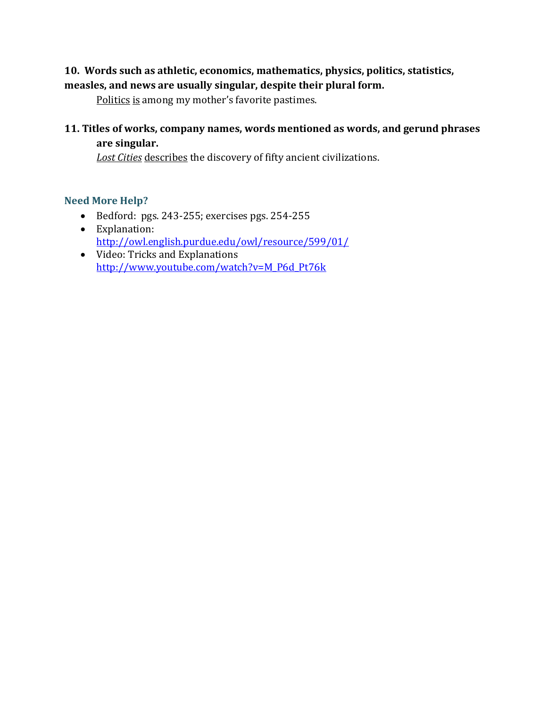## **10. Words such as athletic, economics, mathematics, physics, politics, statistics, measles, and news are usually singular, despite their plural form.**

Politics is among my mother's favorite pastimes.

## **11. Titles of works, company names, words mentioned as words, and gerund phrases are singular.**

*Lost Cities* describes the discovery of fifty ancient civilizations.

### **Need More Help?**

- Bedford: pgs. 243-255; exercises pgs. 254-255
- Explanation: <http://owl.english.purdue.edu/owl/resource/599/01/>
- Video: Tricks and Explanations [http://www.youtube.com/watch?v=M\\_P6d\\_Pt76k](http://www.youtube.com/watch?v=M_P6d_Pt76k)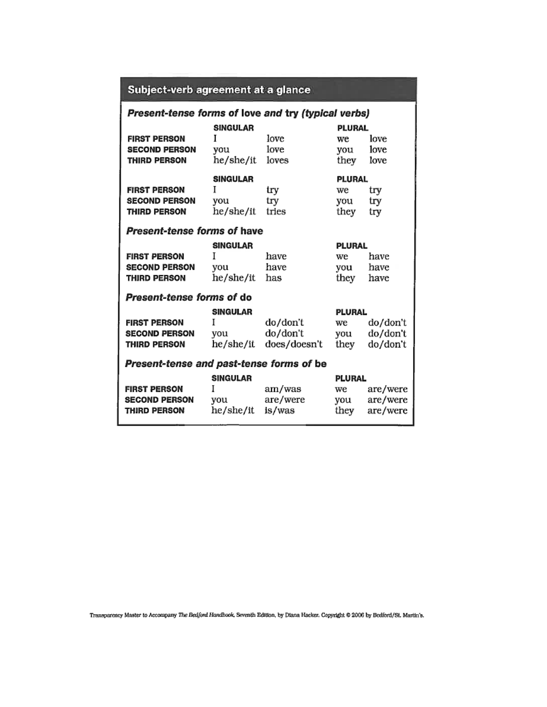# Subject-verb agreement at a glance

### Present-tense forms of love and try (typical verbs)

| <b>FIRST PERSON</b><br><b>SECOND PERSON</b><br><b>THIRD PERSON</b> | SINGULAR<br>I<br>you<br>he/she/it        | love<br>love<br>loves                | PLURAL<br>we<br>you<br>they | love<br>love<br>love             |
|--------------------------------------------------------------------|------------------------------------------|--------------------------------------|-----------------------------|----------------------------------|
| <b>FIRST PERSON</b><br><b>SECOND PERSON</b><br>THIRD PERSON        | <b>SINGULAR</b><br>I<br>you<br>he/she/it | try<br>try<br>tries                  | PLURAL<br>we<br>you<br>they | try<br>try<br>try                |
| Present-tense forms of have                                        |                                          |                                      |                             |                                  |
| <b>FIRST PERSON</b><br><b>SECOND PERSON</b><br>THIRD PERSON        | SINGULAR<br>I<br>you<br>he/she/it        | have<br>have<br>has                  | PLURAL<br>we<br>you<br>they | have<br>have<br>have             |
| Present-tense forms of do                                          |                                          |                                      |                             |                                  |
| <b>FIRST PERSON</b><br><b>SECOND PERSON</b><br>THIRD PERSON        | <b>SINGULAR</b><br>I<br>you<br>he/she/it | do/don't<br>do/don't<br>does/doesn't | PLURAL<br>we<br>you<br>they | do/don't<br>do/don't<br>do/don't |
| Present-tense and past-tense forms of be                           |                                          |                                      |                             |                                  |
|                                                                    | SINGULAR                                 |                                      | PLURAL                      |                                  |
| <b>FIRST PERSON</b>                                                | I                                        | am/was                               | we                          | are/were                         |
| <b>SECOND PERSON</b><br><b>THIRD PERSON</b>                        | you<br>he/she/it                         | are/were<br>is/was                   | you<br>they                 | are/were<br>are/were             |

Transparency Master to Accompany The Bedford Handbook, Seventh Edition, by Diana Hacker. Copyright © 2006 by Bedford/St. Martin's.